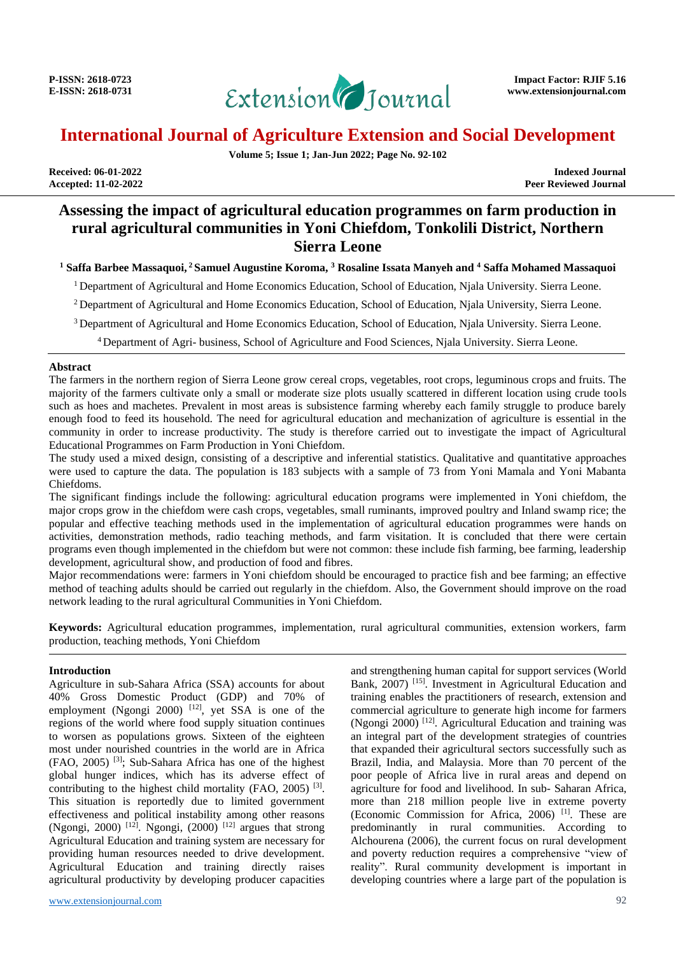

**Volume 5; Issue 1; Jan-Jun 2022; Page No. 92-102**

**Accepted: 11-02-2022** 

**Received: 06-01-2022 Indexed Journal**

## **Assessing the impact of agricultural education programmes on farm production in rural agricultural communities in Yoni Chiefdom, Tonkolili District, Northern Sierra Leone**

**<sup>1</sup> Saffa Barbee Massaquoi, <sup>2</sup> Samuel Augustine Koroma, <sup>3</sup> Rosaline Issata Manyeh and <sup>4</sup> Saffa Mohamed Massaquoi**

<sup>1</sup> Department of Agricultural and Home Economics Education, School of Education, Njala University. Sierra Leone.

<sup>2</sup> Department of Agricultural and Home Economics Education, School of Education, Niala University, Sierra Leone.

<sup>3</sup> Department of Agricultural and Home Economics Education, School of Education, Njala University. Sierra Leone.

<sup>4</sup>Department of Agri- business, School of Agriculture and Food Sciences, Njala University. Sierra Leone.

#### **Abstract**

The farmers in the northern region of Sierra Leone grow cereal crops, vegetables, root crops, leguminous crops and fruits. The majority of the farmers cultivate only a small or moderate size plots usually scattered in different location using crude tools such as hoes and machetes. Prevalent in most areas is subsistence farming whereby each family struggle to produce barely enough food to feed its household. The need for agricultural education and mechanization of agriculture is essential in the community in order to increase productivity. The study is therefore carried out to investigate the impact of Agricultural Educational Programmes on Farm Production in Yoni Chiefdom.

The study used a mixed design, consisting of a descriptive and inferential statistics. Qualitative and quantitative approaches were used to capture the data. The population is 183 subjects with a sample of 73 from Yoni Mamala and Yoni Mabanta Chiefdoms.

The significant findings include the following: agricultural education programs were implemented in Yoni chiefdom, the major crops grow in the chiefdom were cash crops, vegetables, small ruminants, improved poultry and Inland swamp rice; the popular and effective teaching methods used in the implementation of agricultural education programmes were hands on activities, demonstration methods, radio teaching methods, and farm visitation. It is concluded that there were certain programs even though implemented in the chiefdom but were not common: these include fish farming, bee farming, leadership development, agricultural show, and production of food and fibres.

Major recommendations were: farmers in Yoni chiefdom should be encouraged to practice fish and bee farming; an effective method of teaching adults should be carried out regularly in the chiefdom. Also, the Government should improve on the road network leading to the rural agricultural Communities in Yoni Chiefdom.

**Keywords:** Agricultural education programmes, implementation, rural agricultural communities, extension workers, farm production, teaching methods, Yoni Chiefdom

#### **Introduction**

Agriculture in sub-Sahara Africa (SSA) accounts for about 40% Gross Domestic Product (GDP) and 70% of employment (Ngongi 2000)  $[12]$ , yet SSA is one of the regions of the world where food supply situation continues to worsen as populations grows. Sixteen of the eighteen most under nourished countries in the world are in Africa (FAO, 2005) [3] ; Sub-Sahara Africa has one of the highest global hunger indices, which has its adverse effect of contributing to the highest child mortality (FAO, 2005)  $[3]$ . This situation is reportedly due to limited government effectiveness and political instability among other reasons (Ngongi, 2000) <sup>[12]</sup>. Ngongi, (2000) <sup>[12]</sup> argues that strong Agricultural Education and training system are necessary for providing human resources needed to drive development. Agricultural Education and training directly raises agricultural productivity by developing producer capacities

and strengthening human capital for support services (World Bank, 2007)<sup>[15]</sup>. Investment in Agricultural Education and training enables the practitioners of research, extension and commercial agriculture to generate high income for farmers (Ngongi 2000)<sup>[12]</sup>. Agricultural Education and training was an integral part of the development strategies of countries that expanded their agricultural sectors successfully such as Brazil, India, and Malaysia. More than 70 percent of the poor people of Africa live in rural areas and depend on agriculture for food and livelihood. In sub- Saharan Africa, more than 218 million people live in extreme poverty (Economic Commission for Africa, 2006) [1] . These are predominantly in rural communities. According to Alchourena (2006), the current focus on rural development and poverty reduction requires a comprehensive "view of reality". Rural community development is important in developing countries where a large part of the population is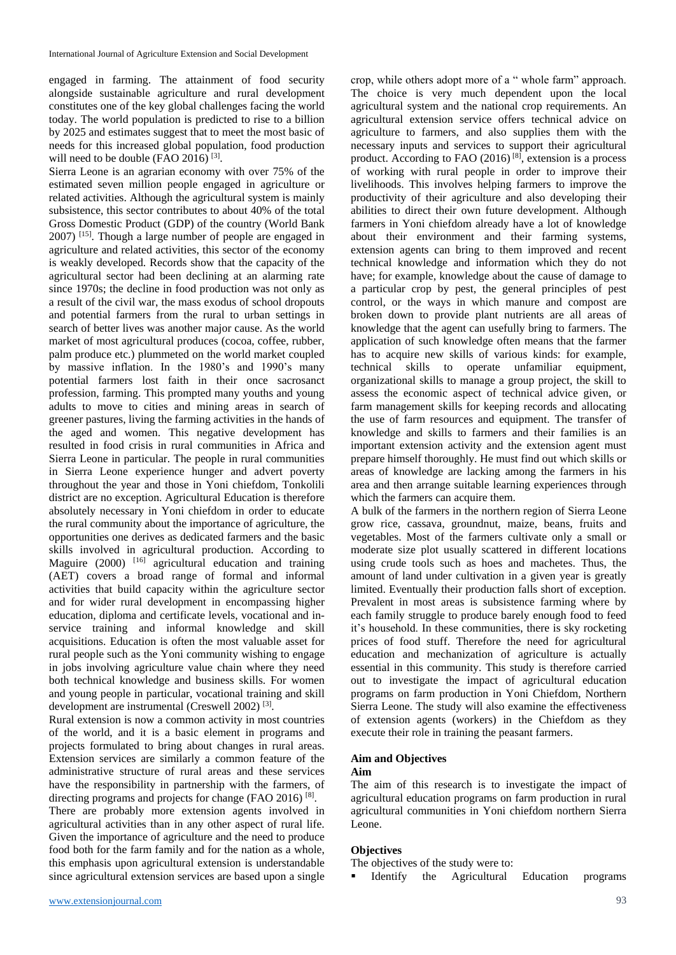engaged in farming. The attainment of food security alongside sustainable agriculture and rural development constitutes one of the key global challenges facing the world today. The world population is predicted to rise to a billion by 2025 and estimates suggest that to meet the most basic of needs for this increased global population, food production will need to be double (FAO 2016)  $^{[3]}$ .

Sierra Leone is an agrarian economy with over 75% of the estimated seven million people engaged in agriculture or related activities. Although the agricultural system is mainly subsistence, this sector contributes to about 40% of the total Gross Domestic Product (GDP) of the country (World Bank 2007) <sup>[15]</sup>. Though a large number of people are engaged in agriculture and related activities, this sector of the economy is weakly developed. Records show that the capacity of the agricultural sector had been declining at an alarming rate since 1970s; the decline in food production was not only as a result of the civil war, the mass exodus of school dropouts and potential farmers from the rural to urban settings in search of better lives was another major cause. As the world market of most agricultural produces (cocoa, coffee, rubber, palm produce etc.) plummeted on the world market coupled by massive inflation. In the 1980's and 1990's many potential farmers lost faith in their once sacrosanct profession, farming. This prompted many youths and young adults to move to cities and mining areas in search of greener pastures, living the farming activities in the hands of the aged and women. This negative development has resulted in food crisis in rural communities in Africa and Sierra Leone in particular. The people in rural communities in Sierra Leone experience hunger and advert poverty throughout the year and those in Yoni chiefdom, Tonkolili district are no exception. Agricultural Education is therefore absolutely necessary in Yoni chiefdom in order to educate the rural community about the importance of agriculture, the opportunities one derives as dedicated farmers and the basic skills involved in agricultural production. According to Maguire (2000) <sup>[16]</sup> agricultural education and training (AET) covers a broad range of formal and informal activities that build capacity within the agriculture sector and for wider rural development in encompassing higher education, diploma and certificate levels, vocational and inservice training and informal knowledge and skill acquisitions. Education is often the most valuable asset for rural people such as the Yoni community wishing to engage in jobs involving agriculture value chain where they need both technical knowledge and business skills. For women and young people in particular, vocational training and skill development are instrumental (Creswell 2002)<sup>[3]</sup>.

Rural extension is now a common activity in most countries of the world, and it is a basic element in programs and projects formulated to bring about changes in rural areas. Extension services are similarly a common feature of the administrative structure of rural areas and these services have the responsibility in partnership with the farmers, of directing programs and projects for change (FAO 2016)<sup>[8]</sup>. There are probably more extension agents involved in agricultural activities than in any other aspect of rural life. Given the importance of agriculture and the need to produce food both for the farm family and for the nation as a whole,

this emphasis upon agricultural extension is understandable since agricultural extension services are based upon a single crop, while others adopt more of a " whole farm" approach. The choice is very much dependent upon the local agricultural system and the national crop requirements. An agricultural extension service offers technical advice on agriculture to farmers, and also supplies them with the necessary inputs and services to support their agricultural product. According to FAO (2016)<sup>[8]</sup>, extension is a process of working with rural people in order to improve their livelihoods. This involves helping farmers to improve the productivity of their agriculture and also developing their abilities to direct their own future development. Although farmers in Yoni chiefdom already have a lot of knowledge about their environment and their farming systems, extension agents can bring to them improved and recent technical knowledge and information which they do not have; for example, knowledge about the cause of damage to a particular crop by pest, the general principles of pest control, or the ways in which manure and compost are broken down to provide plant nutrients are all areas of knowledge that the agent can usefully bring to farmers. The application of such knowledge often means that the farmer has to acquire new skills of various kinds: for example, technical skills to operate unfamiliar equipment, organizational skills to manage a group project, the skill to assess the economic aspect of technical advice given, or farm management skills for keeping records and allocating the use of farm resources and equipment. The transfer of knowledge and skills to farmers and their families is an important extension activity and the extension agent must prepare himself thoroughly. He must find out which skills or areas of knowledge are lacking among the farmers in his area and then arrange suitable learning experiences through which the farmers can acquire them.

A bulk of the farmers in the northern region of Sierra Leone grow rice, cassava, groundnut, maize, beans, fruits and vegetables. Most of the farmers cultivate only a small or moderate size plot usually scattered in different locations using crude tools such as hoes and machetes. Thus, the amount of land under cultivation in a given year is greatly limited. Eventually their production falls short of exception. Prevalent in most areas is subsistence farming where by each family struggle to produce barely enough food to feed it's household. In these communities, there is sky rocketing prices of food stuff. Therefore the need for agricultural education and mechanization of agriculture is actually essential in this community. This study is therefore carried out to investigate the impact of agricultural education programs on farm production in Yoni Chiefdom, Northern Sierra Leone. The study will also examine the effectiveness of extension agents (workers) in the Chiefdom as they execute their role in training the peasant farmers.

## **Aim and Objectives**

## **Aim**

The aim of this research is to investigate the impact of agricultural education programs on farm production in rural agricultural communities in Yoni chiefdom northern Sierra Leone.

#### **Objectives**

The objectives of the study were to:

Identify the Agricultural Education programs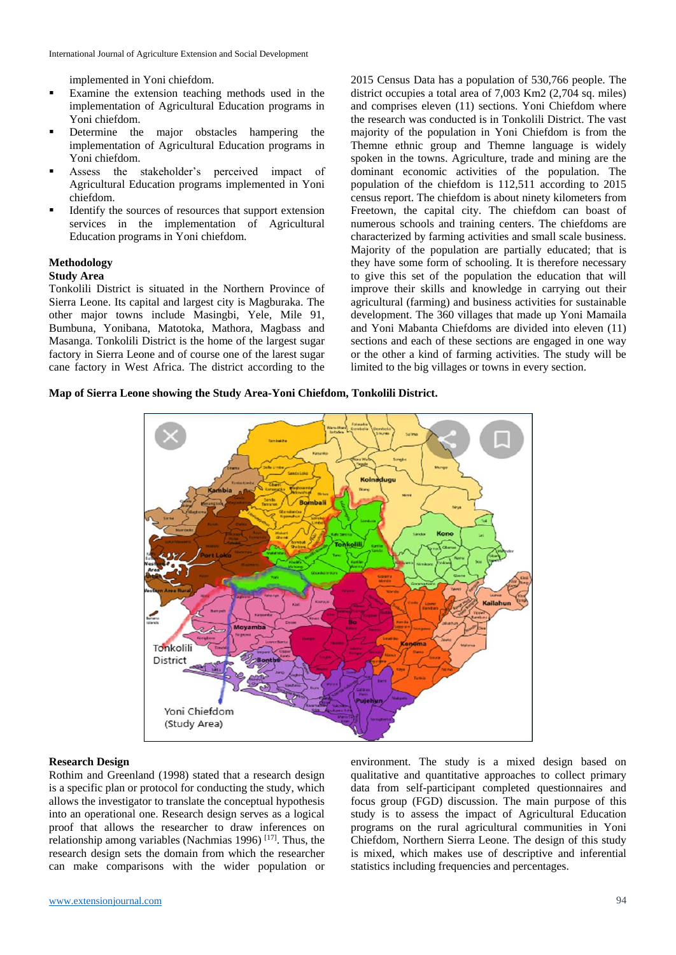implemented in Yoni chiefdom.

- Examine the extension teaching methods used in the implementation of Agricultural Education programs in Yoni chiefdom.
- Determine the major obstacles hampering the implementation of Agricultural Education programs in Yoni chiefdom.
- Assess the stakeholder's perceived impact of Agricultural Education programs implemented in Yoni chiefdom.
- Identify the sources of resources that support extension services in the implementation of Agricultural Education programs in Yoni chiefdom.

#### **Methodology**

#### **Study Area**

Tonkolili District is situated in the Northern Province of Sierra Leone. Its capital and largest city is Magburaka. The other major towns include Masingbi, Yele, Mile 91, Bumbuna, Yonibana, Matotoka, Mathora, Magbass and Masanga. Tonkolili District is the home of the largest sugar factory in Sierra Leone and of course one of the larest sugar cane factory in West Africa. The district according to the 2015 Census Data has a population of 530,766 people. The district occupies a total area of 7,003 Km2 (2,704 sq. miles) and comprises eleven (11) sections. Yoni Chiefdom where the research was conducted is in Tonkolili District. The vast majority of the population in Yoni Chiefdom is from the Themne ethnic group and Themne language is widely spoken in the towns. Agriculture, trade and mining are the dominant economic activities of the population. The population of the chiefdom is 112,511 according to 2015 census report. The chiefdom is about ninety kilometers from Freetown, the capital city. The chiefdom can boast of numerous schools and training centers. The chiefdoms are characterized by farming activities and small scale business. Majority of the population are partially educated; that is they have some form of schooling. It is therefore necessary to give this set of the population the education that will improve their skills and knowledge in carrying out their agricultural (farming) and business activities for sustainable development. The 360 villages that made up Yoni Mamaila and Yoni Mabanta Chiefdoms are divided into eleven (11) sections and each of these sections are engaged in one way or the other a kind of farming activities. The study will be limited to the big villages or towns in every section.

#### **Map of Sierra Leone showing the Study Area-Yoni Chiefdom, Tonkolili District.**



#### **Research Design**

Rothim and Greenland (1998) stated that a research design is a specific plan or protocol for conducting the study, which allows the investigator to translate the conceptual hypothesis into an operational one. Research design serves as a logical proof that allows the researcher to draw inferences on relationship among variables (Nachmias 1996)  $[17]$ . Thus, the research design sets the domain from which the researcher can make comparisons with the wider population or

environment. The study is a mixed design based on qualitative and quantitative approaches to collect primary data from self-participant completed questionnaires and focus group (FGD) discussion. The main purpose of this study is to assess the impact of Agricultural Education programs on the rural agricultural communities in Yoni Chiefdom, Northern Sierra Leone. The design of this study is mixed, which makes use of descriptive and inferential statistics including frequencies and percentages.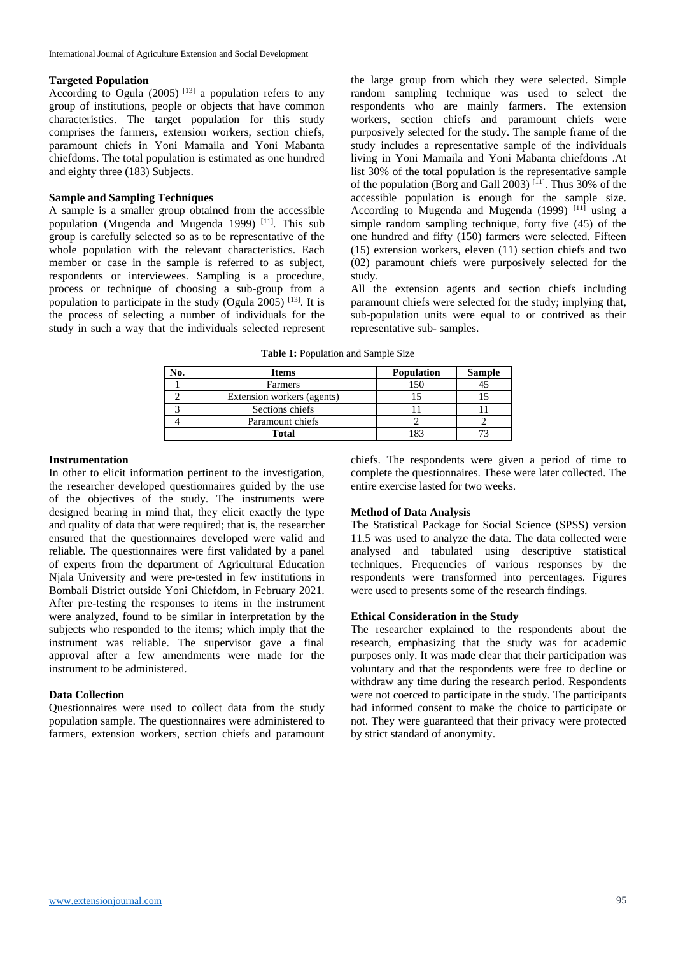#### **Targeted Population**

According to Ogula  $(2005)$ <sup>[13]</sup> a population refers to any group of institutions, people or objects that have common characteristics. The target population for this study comprises the farmers, extension workers, section chiefs, paramount chiefs in Yoni Mamaila and Yoni Mabanta chiefdoms. The total population is estimated as one hundred and eighty three (183) Subjects.

#### **Sample and Sampling Techniques**

A sample is a smaller group obtained from the accessible population (Mugenda and Mugenda 1999)<sup>[11]</sup>. This sub group is carefully selected so as to be representative of the whole population with the relevant characteristics. Each member or case in the sample is referred to as subject, respondents or interviewees. Sampling is a procedure, process or technique of choosing a sub-group from a population to participate in the study (Ogula 2005)  $^{[13]}$ . It is the process of selecting a number of individuals for the study in such a way that the individuals selected represent

the large group from which they were selected. Simple random sampling technique was used to select the respondents who are mainly farmers. The extension workers, section chiefs and paramount chiefs were purposively selected for the study. The sample frame of the study includes a representative sample of the individuals living in Yoni Mamaila and Yoni Mabanta chiefdoms .At list 30% of the total population is the representative sample of the population (Borg and Gall 2003)<sup>[11]</sup>. Thus 30% of the accessible population is enough for the sample size. According to Mugenda and Mugenda  $(1999)$ <sup>[11]</sup> using a simple random sampling technique, forty five (45) of the one hundred and fifty (150) farmers were selected. Fifteen (15) extension workers, eleven (11) section chiefs and two (02) paramount chiefs were purposively selected for the study.

All the extension agents and section chiefs including paramount chiefs were selected for the study; implying that, sub-population units were equal to or contrived as their representative sub- samples.

**Table 1:** Population and Sample Size

| Ńо. | <b>Items</b>               | <b>Population</b> | <b>Sample</b> |
|-----|----------------------------|-------------------|---------------|
|     | Farmers                    | 150               |               |
|     | Extension workers (agents) |                   |               |
|     | Sections chiefs            |                   |               |
|     | Paramount chiefs           |                   |               |
|     | <b>Total</b>               |                   |               |

#### **Instrumentation**

In other to elicit information pertinent to the investigation, the researcher developed questionnaires guided by the use of the objectives of the study. The instruments were designed bearing in mind that, they elicit exactly the type and quality of data that were required; that is, the researcher ensured that the questionnaires developed were valid and reliable. The questionnaires were first validated by a panel of experts from the department of Agricultural Education Njala University and were pre-tested in few institutions in Bombali District outside Yoni Chiefdom, in February 2021. After pre-testing the responses to items in the instrument were analyzed, found to be similar in interpretation by the subjects who responded to the items; which imply that the instrument was reliable. The supervisor gave a final approval after a few amendments were made for the instrument to be administered.

#### **Data Collection**

Questionnaires were used to collect data from the study population sample. The questionnaires were administered to farmers, extension workers, section chiefs and paramount

chiefs. The respondents were given a period of time to complete the questionnaires. These were later collected. The entire exercise lasted for two weeks.

#### **Method of Data Analysis**

The Statistical Package for Social Science (SPSS) version 11.5 was used to analyze the data. The data collected were analysed and tabulated using descriptive statistical techniques. Frequencies of various responses by the respondents were transformed into percentages. Figures were used to presents some of the research findings.

#### **Ethical Consideration in the Study**

The researcher explained to the respondents about the research, emphasizing that the study was for academic purposes only. It was made clear that their participation was voluntary and that the respondents were free to decline or withdraw any time during the research period. Respondents were not coerced to participate in the study. The participants had informed consent to make the choice to participate or not. They were guaranteed that their privacy were protected by strict standard of anonymity.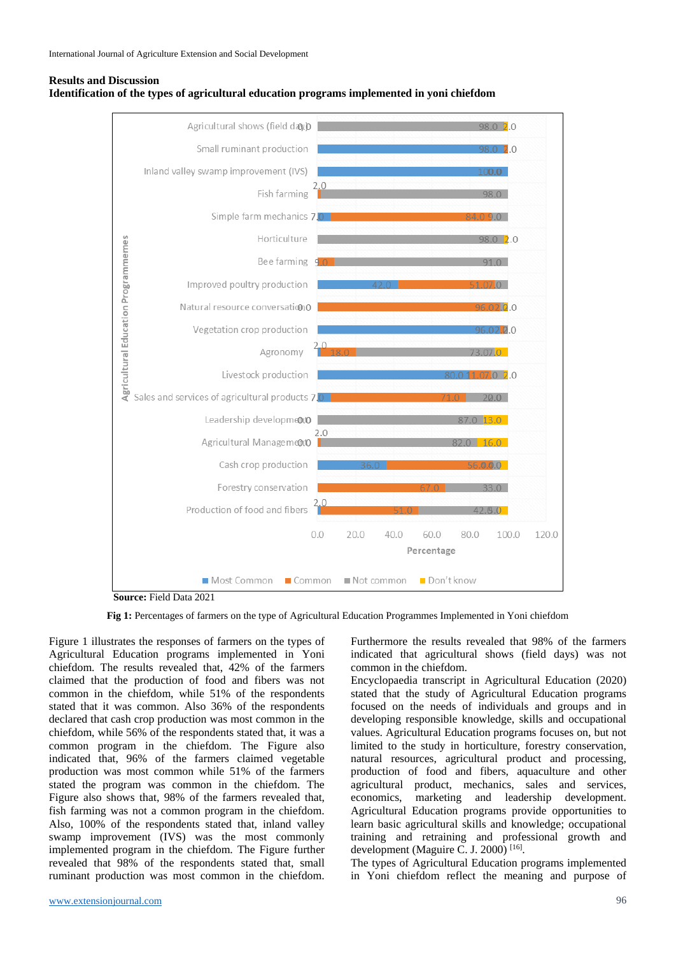



**Source:** Field Data 2021

**Fig 1:** Percentages of farmers on the type of Agricultural Education Programmes Implemented in Yoni chiefdom

Figure 1 illustrates the responses of farmers on the types of Agricultural Education programs implemented in Yoni chiefdom. The results revealed that, 42% of the farmers claimed that the production of food and fibers was not common in the chiefdom, while 51% of the respondents stated that it was common. Also 36% of the respondents declared that cash crop production was most common in the chiefdom, while 56% of the respondents stated that, it was a common program in the chiefdom. The Figure also indicated that, 96% of the farmers claimed vegetable production was most common while 51% of the farmers stated the program was common in the chiefdom. The Figure also shows that, 98% of the farmers revealed that, fish farming was not a common program in the chiefdom. Also, 100% of the respondents stated that, inland valley swamp improvement (IVS) was the most commonly implemented program in the chiefdom. The Figure further revealed that 98% of the respondents stated that, small ruminant production was most common in the chiefdom.

indicated that agricultural shows (field days) was not common in the chiefdom. Encyclopaedia transcript in Agricultural Education (2020)

Furthermore the results revealed that 98% of the farmers

stated that the study of Agricultural Education programs focused on the needs of individuals and groups and in developing responsible knowledge, skills and occupational values. Agricultural Education programs focuses on, but not limited to the study in horticulture, forestry conservation, natural resources, agricultural product and processing, production of food and fibers, aquaculture and other agricultural product, mechanics, sales and services, economics, marketing and leadership development. Agricultural Education programs provide opportunities to learn basic agricultural skills and knowledge; occupational training and retraining and professional growth and development (Maguire C. J. 2000)<sup>[16]</sup>.

The types of Agricultural Education programs implemented in Yoni chiefdom reflect the meaning and purpose of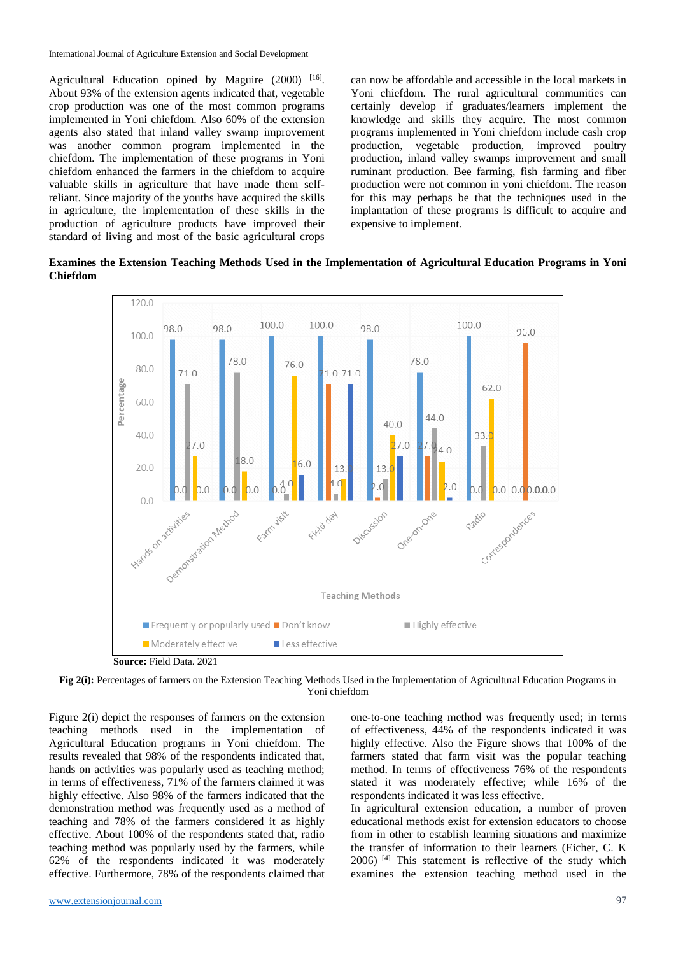Agricultural Education opined by Maguire (2000) [16]. About 93% of the extension agents indicated that, vegetable crop production was one of the most common programs implemented in Yoni chiefdom. Also 60% of the extension agents also stated that inland valley swamp improvement was another common program implemented in the chiefdom. The implementation of these programs in Yoni chiefdom enhanced the farmers in the chiefdom to acquire valuable skills in agriculture that have made them selfreliant. Since majority of the youths have acquired the skills in agriculture, the implementation of these skills in the production of agriculture products have improved their standard of living and most of the basic agricultural crops can now be affordable and accessible in the local markets in Yoni chiefdom. The rural agricultural communities can certainly develop if graduates/learners implement the knowledge and skills they acquire. The most common programs implemented in Yoni chiefdom include cash crop production, vegetable production, improved poultry production, inland valley swamps improvement and small ruminant production. Bee farming, fish farming and fiber production were not common in yoni chiefdom. The reason for this may perhaps be that the techniques used in the implantation of these programs is difficult to acquire and expensive to implement.

**Examines the Extension Teaching Methods Used in the Implementation of Agricultural Education Programs in Yoni Chiefdom**



**Fig 2(i):** Percentages of farmers on the Extension Teaching Methods Used in the Implementation of Agricultural Education Programs in Yoni chiefdom

Figure 2(i) depict the responses of farmers on the extension teaching methods used in the implementation of Agricultural Education programs in Yoni chiefdom. The results revealed that 98% of the respondents indicated that, hands on activities was popularly used as teaching method; in terms of effectiveness, 71% of the farmers claimed it was highly effective. Also 98% of the farmers indicated that the demonstration method was frequently used as a method of teaching and 78% of the farmers considered it as highly effective. About 100% of the respondents stated that, radio teaching method was popularly used by the farmers, while 62% of the respondents indicated it was moderately effective. Furthermore, 78% of the respondents claimed that one-to-one teaching method was frequently used; in terms of effectiveness, 44% of the respondents indicated it was highly effective. Also the Figure shows that 100% of the farmers stated that farm visit was the popular teaching method. In terms of effectiveness 76% of the respondents stated it was moderately effective; while 16% of the respondents indicated it was less effective.

In agricultural extension education, a number of proven educational methods exist for extension educators to choose from in other to establish learning situations and maximize the transfer of information to their learners (Eicher, C. K 2006) [4] This statement is reflective of the study which examines the extension teaching method used in the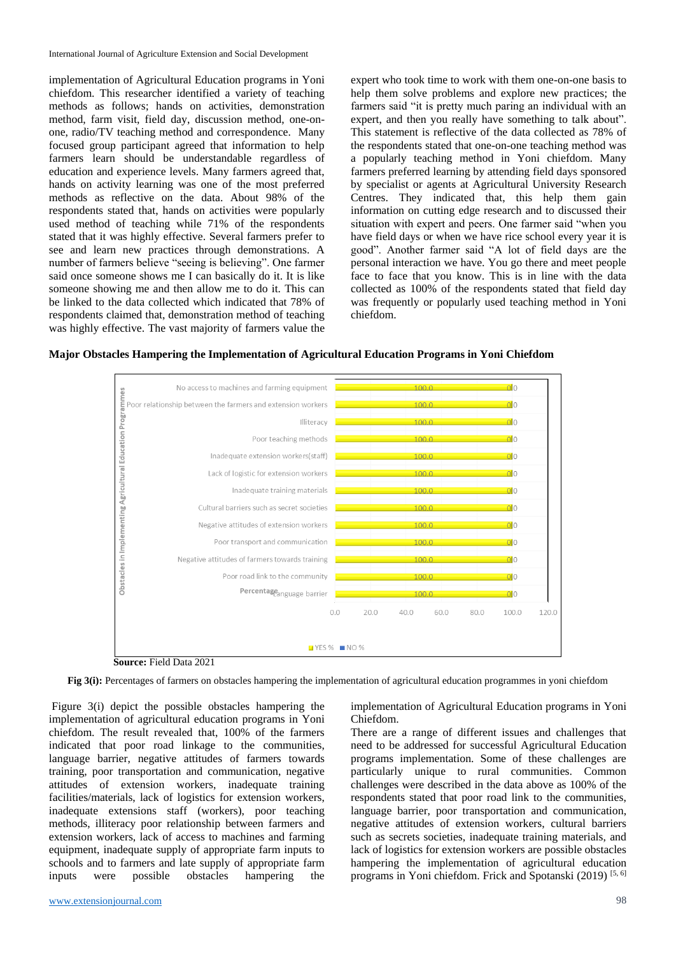implementation of Agricultural Education programs in Yoni chiefdom. This researcher identified a variety of teaching methods as follows; hands on activities, demonstration method, farm visit, field day, discussion method, one-onone, radio/TV teaching method and correspondence. Many focused group participant agreed that information to help farmers learn should be understandable regardless of education and experience levels. Many farmers agreed that, hands on activity learning was one of the most preferred methods as reflective on the data. About 98% of the respondents stated that, hands on activities were popularly used method of teaching while 71% of the respondents stated that it was highly effective. Several farmers prefer to see and learn new practices through demonstrations. A number of farmers believe "seeing is believing". One farmer said once someone shows me I can basically do it. It is like someone showing me and then allow me to do it. This can be linked to the data collected which indicated that 78% of respondents claimed that, demonstration method of teaching was highly effective. The vast majority of farmers value the expert who took time to work with them one-on-one basis to help them solve problems and explore new practices; the farmers said "it is pretty much paring an individual with an expert, and then you really have something to talk about". This statement is reflective of the data collected as 78% of the respondents stated that one-on-one teaching method was a popularly teaching method in Yoni chiefdom. Many farmers preferred learning by attending field days sponsored by specialist or agents at Agricultural University Research Centres. They indicated that, this help them gain information on cutting edge research and to discussed their situation with expert and peers. One farmer said "when you have field days or when we have rice school every year it is good". Another farmer said "A lot of field days are the personal interaction we have. You go there and meet people face to face that you know. This is in line with the data collected as 100% of the respondents stated that field day was frequently or popularly used teaching method in Yoni chiefdom.

**Major Obstacles Hampering the Implementation of Agricultural Education Programs in Yoni Chiefdom**



**Source:** Field Data 2021

**Fig 3(i):** Percentages of farmers on obstacles hampering the implementation of agricultural education programmes in yoni chiefdom

Figure 3(i) depict the possible obstacles hampering the implementation of agricultural education programs in Yoni chiefdom. The result revealed that, 100% of the farmers indicated that poor road linkage to the communities, language barrier, negative attitudes of farmers towards training, poor transportation and communication, negative attitudes of extension workers, inadequate training facilities/materials, lack of logistics for extension workers, inadequate extensions staff (workers), poor teaching methods, illiteracy poor relationship between farmers and extension workers, lack of access to machines and farming equipment, inadequate supply of appropriate farm inputs to schools and to farmers and late supply of appropriate farm inputs were possible obstacles hampering the

implementation of Agricultural Education programs in Yoni Chiefdom.

There are a range of different issues and challenges that need to be addressed for successful Agricultural Education programs implementation. Some of these challenges are particularly unique to rural communities. Common challenges were described in the data above as 100% of the respondents stated that poor road link to the communities, language barrier, poor transportation and communication, negative attitudes of extension workers, cultural barriers such as secrets societies, inadequate training materials, and lack of logistics for extension workers are possible obstacles hampering the implementation of agricultural education programs in Yoni chiefdom. Frick and Spotanski (2019) [5, 6]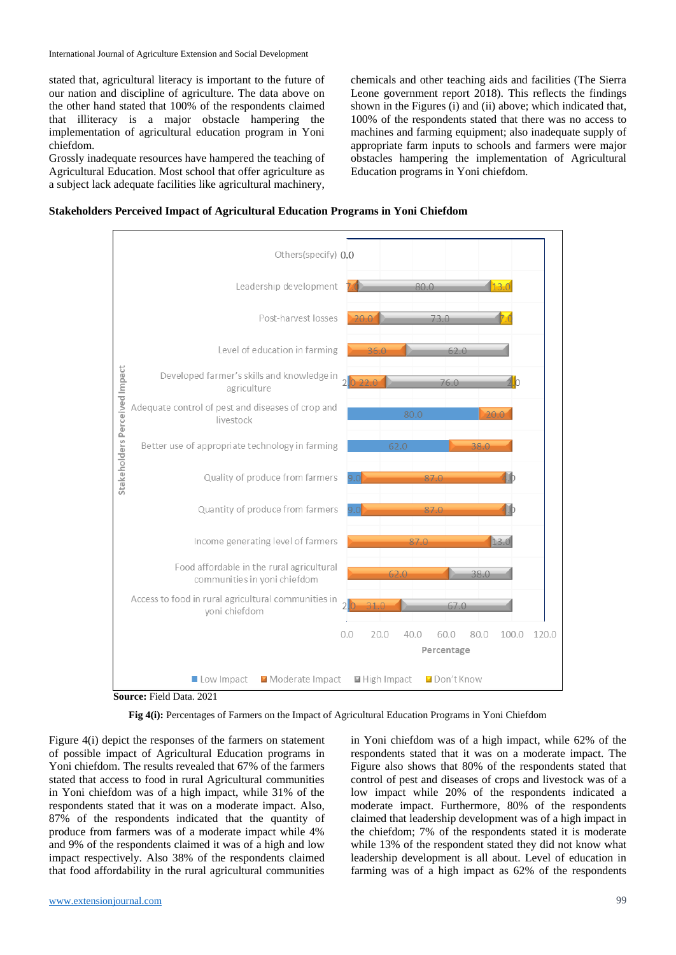stated that, agricultural literacy is important to the future of our nation and discipline of agriculture. The data above on the other hand stated that 100% of the respondents claimed that illiteracy is a major obstacle hampering the implementation of agricultural education program in Yoni chiefdom.

Grossly inadequate resources have hampered the teaching of Agricultural Education. Most school that offer agriculture as a subject lack adequate facilities like agricultural machinery,

chemicals and other teaching aids and facilities (The Sierra Leone government report 2018). This reflects the findings shown in the Figures (i) and (ii) above; which indicated that, 100% of the respondents stated that there was no access to machines and farming equipment; also inadequate supply of appropriate farm inputs to schools and farmers were major obstacles hampering the implementation of Agricultural Education programs in Yoni chiefdom.





**Source:** Field Data. 2021

**Fig 4(i):** Percentages of Farmers on the Impact of Agricultural Education Programs in Yoni Chiefdom

Figure 4(i) depict the responses of the farmers on statement of possible impact of Agricultural Education programs in Yoni chiefdom. The results revealed that 67% of the farmers stated that access to food in rural Agricultural communities in Yoni chiefdom was of a high impact, while 31% of the respondents stated that it was on a moderate impact. Also, 87% of the respondents indicated that the quantity of produce from farmers was of a moderate impact while 4% and 9% of the respondents claimed it was of a high and low impact respectively. Also 38% of the respondents claimed that food affordability in the rural agricultural communities

in Yoni chiefdom was of a high impact, while 62% of the respondents stated that it was on a moderate impact. The Figure also shows that 80% of the respondents stated that control of pest and diseases of crops and livestock was of a low impact while 20% of the respondents indicated a moderate impact. Furthermore, 80% of the respondents claimed that leadership development was of a high impact in the chiefdom; 7% of the respondents stated it is moderate while 13% of the respondent stated they did not know what leadership development is all about. Level of education in farming was of a high impact as 62% of the respondents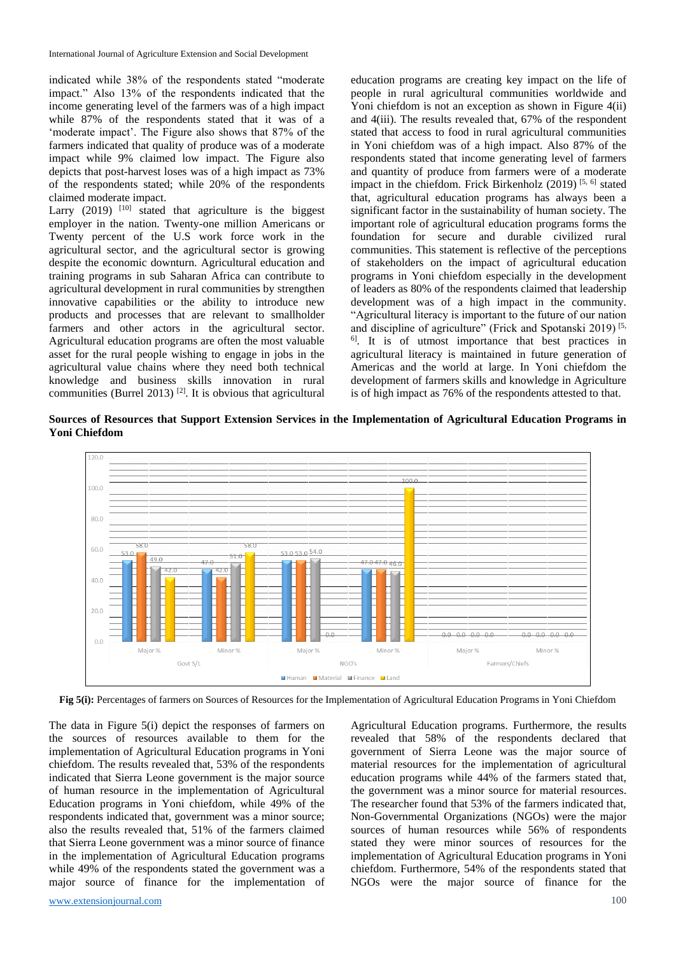indicated while 38% of the respondents stated "moderate impact." Also 13% of the respondents indicated that the income generating level of the farmers was of a high impact while 87% of the respondents stated that it was of a 'moderate impact'. The Figure also shows that 87% of the farmers indicated that quality of produce was of a moderate impact while 9% claimed low impact. The Figure also depicts that post-harvest loses was of a high impact as 73% of the respondents stated; while 20% of the respondents claimed moderate impact.

Larry  $(2019)$  <sup>[10]</sup> stated that agriculture is the biggest employer in the nation. Twenty-one million Americans or Twenty percent of the U.S work force work in the agricultural sector, and the agricultural sector is growing despite the economic downturn. Agricultural education and training programs in sub Saharan Africa can contribute to agricultural development in rural communities by strengthen innovative capabilities or the ability to introduce new products and processes that are relevant to smallholder farmers and other actors in the agricultural sector. Agricultural education programs are often the most valuable asset for the rural people wishing to engage in jobs in the agricultural value chains where they need both technical knowledge and business skills innovation in rural communities (Burrel 2013)  $^{[2]}$ . It is obvious that agricultural education programs are creating key impact on the life of people in rural agricultural communities worldwide and Yoni chiefdom is not an exception as shown in Figure 4(ii) and 4(iii). The results revealed that, 67% of the respondent stated that access to food in rural agricultural communities in Yoni chiefdom was of a high impact. Also 87% of the respondents stated that income generating level of farmers and quantity of produce from farmers were of a moderate impact in the chiefdom. Frick Birkenholz  $(2019)$  [5, 6] stated that, agricultural education programs has always been a significant factor in the sustainability of human society. The important role of agricultural education programs forms the foundation for secure and durable civilized rural communities. This statement is reflective of the perceptions of stakeholders on the impact of agricultural education programs in Yoni chiefdom especially in the development of leaders as 80% of the respondents claimed that leadership development was of a high impact in the community. "Agricultural literacy is important to the future of our nation and discipline of agriculture" (Frick and Spotanski 2019)<sup>[5,</sup> <sup>6]</sup>. It is of utmost importance that best practices in agricultural literacy is maintained in future generation of Americas and the world at large. In Yoni chiefdom the development of farmers skills and knowledge in Agriculture is of high impact as 76% of the respondents attested to that.

**Sources of Resources that Support Extension Services in the Implementation of Agricultural Education Programs in Yoni Chiefdom**



**Fig 5(i):** Percentages of farmers on Sources of Resources for the Implementation of Agricultural Education Programs in Yoni Chiefdom

The data in Figure 5(i) depict the responses of farmers on the sources of resources available to them for the implementation of Agricultural Education programs in Yoni chiefdom. The results revealed that, 53% of the respondents indicated that Sierra Leone government is the major source of human resource in the implementation of Agricultural Education programs in Yoni chiefdom, while 49% of the respondents indicated that, government was a minor source; also the results revealed that, 51% of the farmers claimed that Sierra Leone government was a minor source of finance in the implementation of Agricultural Education programs while 49% of the respondents stated the government was a major source of finance for the implementation of

Agricultural Education programs. Furthermore, the results revealed that 58% of the respondents declared that government of Sierra Leone was the major source of material resources for the implementation of agricultural education programs while 44% of the farmers stated that, the government was a minor source for material resources. The researcher found that 53% of the farmers indicated that, Non-Governmental Organizations (NGOs) were the major sources of human resources while 56% of respondents stated they were minor sources of resources for the implementation of Agricultural Education programs in Yoni chiefdom. Furthermore, 54% of the respondents stated that NGOs were the major source of finance for the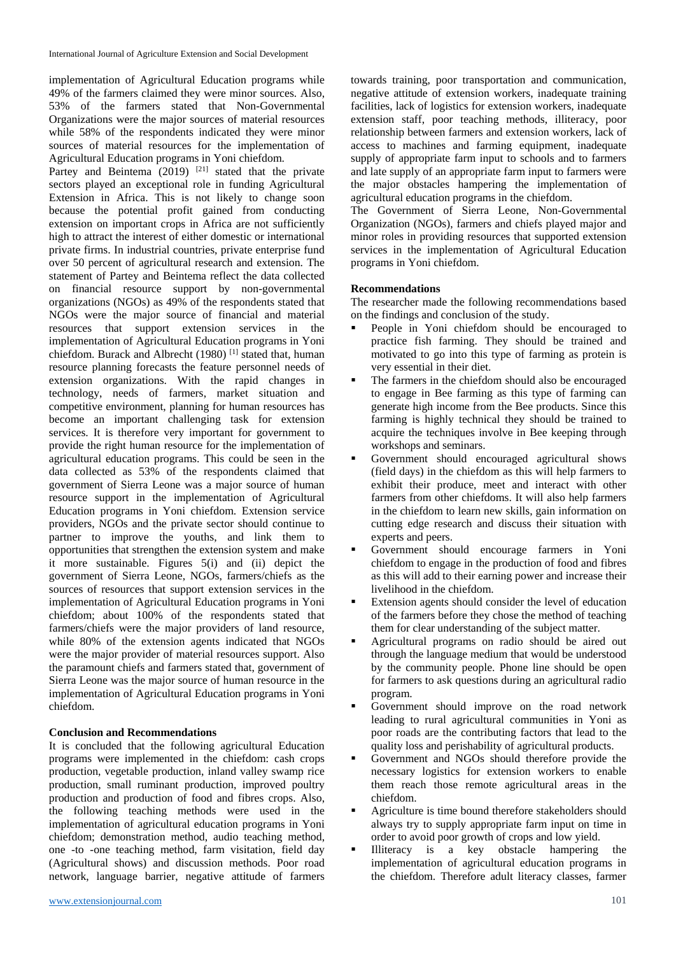implementation of Agricultural Education programs while 49% of the farmers claimed they were minor sources. Also, 53% of the farmers stated that Non-Governmental Organizations were the major sources of material resources while 58% of the respondents indicated they were minor sources of material resources for the implementation of Agricultural Education programs in Yoni chiefdom.

Partey and Beintema  $(2019)$  <sup>[21]</sup> stated that the private sectors played an exceptional role in funding Agricultural Extension in Africa. This is not likely to change soon because the potential profit gained from conducting extension on important crops in Africa are not sufficiently high to attract the interest of either domestic or international private firms. In industrial countries, private enterprise fund over 50 percent of agricultural research and extension. The statement of Partey and Beintema reflect the data collected on financial resource support by non-governmental organizations (NGOs) as 49% of the respondents stated that NGOs were the major source of financial and material resources that support extension services in the implementation of Agricultural Education programs in Yoni chiefdom. Burack and Albrecht (1980) [1] stated that, human resource planning forecasts the feature personnel needs of extension organizations. With the rapid changes in technology, needs of farmers, market situation and competitive environment, planning for human resources has become an important challenging task for extension services. It is therefore very important for government to provide the right human resource for the implementation of agricultural education programs. This could be seen in the data collected as 53% of the respondents claimed that government of Sierra Leone was a major source of human resource support in the implementation of Agricultural Education programs in Yoni chiefdom. Extension service providers, NGOs and the private sector should continue to partner to improve the youths, and link them to opportunities that strengthen the extension system and make it more sustainable. Figures 5(i) and (ii) depict the government of Sierra Leone, NGOs, farmers/chiefs as the sources of resources that support extension services in the implementation of Agricultural Education programs in Yoni chiefdom; about 100% of the respondents stated that farmers/chiefs were the major providers of land resource, while 80% of the extension agents indicated that NGOs were the major provider of material resources support. Also the paramount chiefs and farmers stated that, government of Sierra Leone was the major source of human resource in the implementation of Agricultural Education programs in Yoni chiefdom.

### **Conclusion and Recommendations**

It is concluded that the following agricultural Education programs were implemented in the chiefdom: cash crops production, vegetable production, inland valley swamp rice production, small ruminant production, improved poultry production and production of food and fibres crops. Also, the following teaching methods were used in the implementation of agricultural education programs in Yoni chiefdom; demonstration method, audio teaching method, one -to -one teaching method, farm visitation, field day (Agricultural shows) and discussion methods. Poor road network, language barrier, negative attitude of farmers

towards training, poor transportation and communication, negative attitude of extension workers, inadequate training facilities, lack of logistics for extension workers, inadequate extension staff, poor teaching methods, illiteracy, poor relationship between farmers and extension workers, lack of access to machines and farming equipment, inadequate supply of appropriate farm input to schools and to farmers and late supply of an appropriate farm input to farmers were the major obstacles hampering the implementation of agricultural education programs in the chiefdom.

The Government of Sierra Leone, Non-Governmental Organization (NGOs), farmers and chiefs played major and minor roles in providing resources that supported extension services in the implementation of Agricultural Education programs in Yoni chiefdom.

#### **Recommendations**

The researcher made the following recommendations based on the findings and conclusion of the study.

- People in Yoni chiefdom should be encouraged to practice fish farming. They should be trained and motivated to go into this type of farming as protein is very essential in their diet.
- The farmers in the chiefdom should also be encouraged to engage in Bee farming as this type of farming can generate high income from the Bee products. Since this farming is highly technical they should be trained to acquire the techniques involve in Bee keeping through workshops and seminars.
- Government should encouraged agricultural shows (field days) in the chiefdom as this will help farmers to exhibit their produce, meet and interact with other farmers from other chiefdoms. It will also help farmers in the chiefdom to learn new skills, gain information on cutting edge research and discuss their situation with experts and peers.
- Government should encourage farmers in Yoni chiefdom to engage in the production of food and fibres as this will add to their earning power and increase their livelihood in the chiefdom.
- Extension agents should consider the level of education of the farmers before they chose the method of teaching them for clear understanding of the subject matter.
- Agricultural programs on radio should be aired out through the language medium that would be understood by the community people. Phone line should be open for farmers to ask questions during an agricultural radio program.
- Government should improve on the road network leading to rural agricultural communities in Yoni as poor roads are the contributing factors that lead to the quality loss and perishability of agricultural products.
- Government and NGOs should therefore provide the necessary logistics for extension workers to enable them reach those remote agricultural areas in the chiefdom.
- Agriculture is time bound therefore stakeholders should always try to supply appropriate farm input on time in order to avoid poor growth of crops and low yield.
- Illiteracy is a key obstacle hampering the implementation of agricultural education programs in the chiefdom. Therefore adult literacy classes, farmer